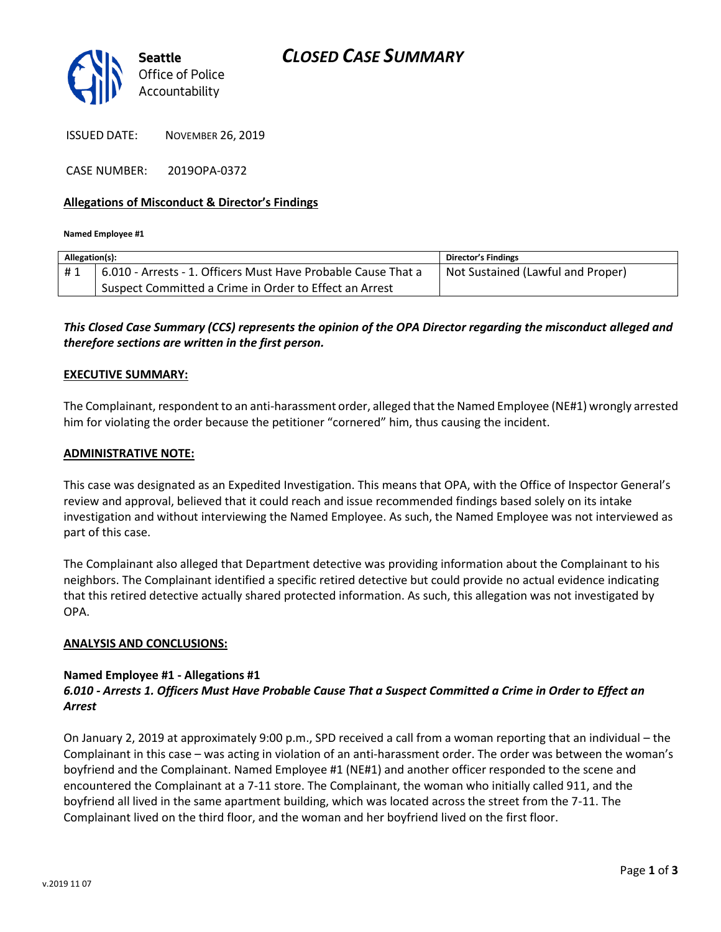

ISSUED DATE: NOVEMBER 26, 2019

CASE NUMBER: 2019OPA-0372

# **Allegations of Misconduct & Director's Findings**

**Named Employee #1**

| Allegation(s): |                                                               | Director's Findings               |
|----------------|---------------------------------------------------------------|-----------------------------------|
| #1             | 6.010 - Arrests - 1. Officers Must Have Probable Cause That a | Not Sustained (Lawful and Proper) |
|                | Suspect Committed a Crime in Order to Effect an Arrest        |                                   |
|                |                                                               |                                   |

# *This Closed Case Summary (CCS) represents the opinion of the OPA Director regarding the misconduct alleged and therefore sections are written in the first person.*

# **EXECUTIVE SUMMARY:**

The Complainant, respondent to an anti-harassment order, alleged that the Named Employee (NE#1) wrongly arrested him for violating the order because the petitioner "cornered" him, thus causing the incident.

#### **ADMINISTRATIVE NOTE:**

This case was designated as an Expedited Investigation. This means that OPA, with the Office of Inspector General's review and approval, believed that it could reach and issue recommended findings based solely on its intake investigation and without interviewing the Named Employee. As such, the Named Employee was not interviewed as part of this case.

The Complainant also alleged that Department detective was providing information about the Complainant to his neighbors. The Complainant identified a specific retired detective but could provide no actual evidence indicating that this retired detective actually shared protected information. As such, this allegation was not investigated by OPA.

#### **ANALYSIS AND CONCLUSIONS:**

### **Named Employee #1 - Allegations #1** *6.010 - Arrests 1. Officers Must Have Probable Cause That a Suspect Committed a Crime in Order to Effect an Arrest*

On January 2, 2019 at approximately 9:00 p.m., SPD received a call from a woman reporting that an individual – the Complainant in this case – was acting in violation of an anti-harassment order. The order was between the woman's boyfriend and the Complainant. Named Employee #1 (NE#1) and another officer responded to the scene and encountered the Complainant at a 7-11 store. The Complainant, the woman who initially called 911, and the boyfriend all lived in the same apartment building, which was located across the street from the 7-11. The Complainant lived on the third floor, and the woman and her boyfriend lived on the first floor.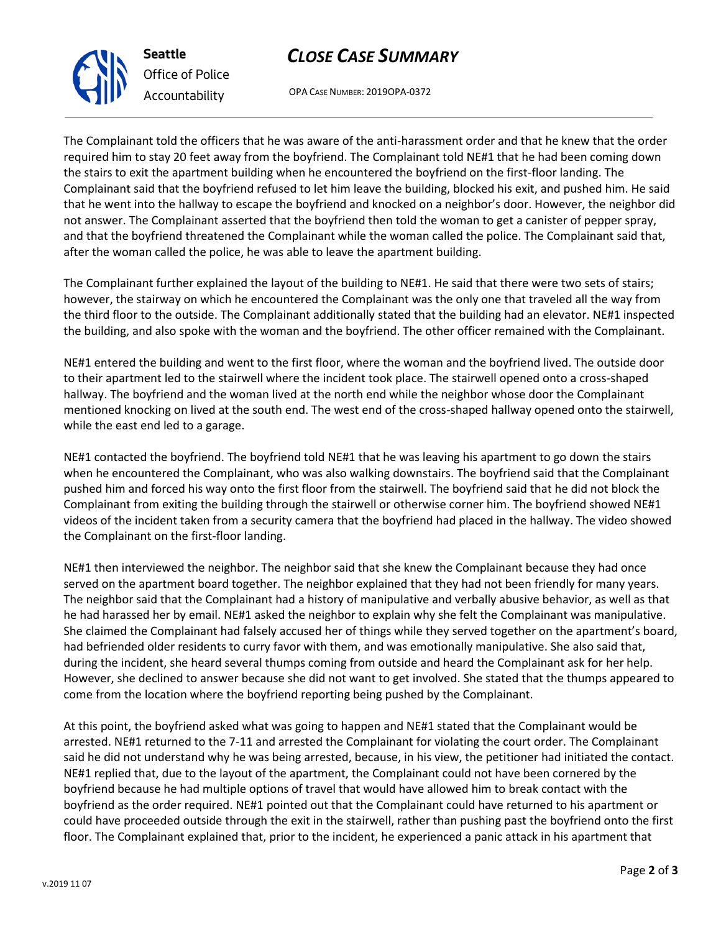



OPA CASE NUMBER: 2019OPA-0372

The Complainant told the officers that he was aware of the anti-harassment order and that he knew that the order required him to stay 20 feet away from the boyfriend. The Complainant told NE#1 that he had been coming down the stairs to exit the apartment building when he encountered the boyfriend on the first-floor landing. The Complainant said that the boyfriend refused to let him leave the building, blocked his exit, and pushed him. He said that he went into the hallway to escape the boyfriend and knocked on a neighbor's door. However, the neighbor did not answer. The Complainant asserted that the boyfriend then told the woman to get a canister of pepper spray, and that the boyfriend threatened the Complainant while the woman called the police. The Complainant said that, after the woman called the police, he was able to leave the apartment building.

The Complainant further explained the layout of the building to NE#1. He said that there were two sets of stairs; however, the stairway on which he encountered the Complainant was the only one that traveled all the way from the third floor to the outside. The Complainant additionally stated that the building had an elevator. NE#1 inspected the building, and also spoke with the woman and the boyfriend. The other officer remained with the Complainant.

NE#1 entered the building and went to the first floor, where the woman and the boyfriend lived. The outside door to their apartment led to the stairwell where the incident took place. The stairwell opened onto a cross-shaped hallway. The boyfriend and the woman lived at the north end while the neighbor whose door the Complainant mentioned knocking on lived at the south end. The west end of the cross-shaped hallway opened onto the stairwell, while the east end led to a garage.

NE#1 contacted the boyfriend. The boyfriend told NE#1 that he was leaving his apartment to go down the stairs when he encountered the Complainant, who was also walking downstairs. The boyfriend said that the Complainant pushed him and forced his way onto the first floor from the stairwell. The boyfriend said that he did not block the Complainant from exiting the building through the stairwell or otherwise corner him. The boyfriend showed NE#1 videos of the incident taken from a security camera that the boyfriend had placed in the hallway. The video showed the Complainant on the first-floor landing.

NE#1 then interviewed the neighbor. The neighbor said that she knew the Complainant because they had once served on the apartment board together. The neighbor explained that they had not been friendly for many years. The neighbor said that the Complainant had a history of manipulative and verbally abusive behavior, as well as that he had harassed her by email. NE#1 asked the neighbor to explain why she felt the Complainant was manipulative. She claimed the Complainant had falsely accused her of things while they served together on the apartment's board, had befriended older residents to curry favor with them, and was emotionally manipulative. She also said that, during the incident, she heard several thumps coming from outside and heard the Complainant ask for her help. However, she declined to answer because she did not want to get involved. She stated that the thumps appeared to come from the location where the boyfriend reporting being pushed by the Complainant.

At this point, the boyfriend asked what was going to happen and NE#1 stated that the Complainant would be arrested. NE#1 returned to the 7-11 and arrested the Complainant for violating the court order. The Complainant said he did not understand why he was being arrested, because, in his view, the petitioner had initiated the contact. NE#1 replied that, due to the layout of the apartment, the Complainant could not have been cornered by the boyfriend because he had multiple options of travel that would have allowed him to break contact with the boyfriend as the order required. NE#1 pointed out that the Complainant could have returned to his apartment or could have proceeded outside through the exit in the stairwell, rather than pushing past the boyfriend onto the first floor. The Complainant explained that, prior to the incident, he experienced a panic attack in his apartment that